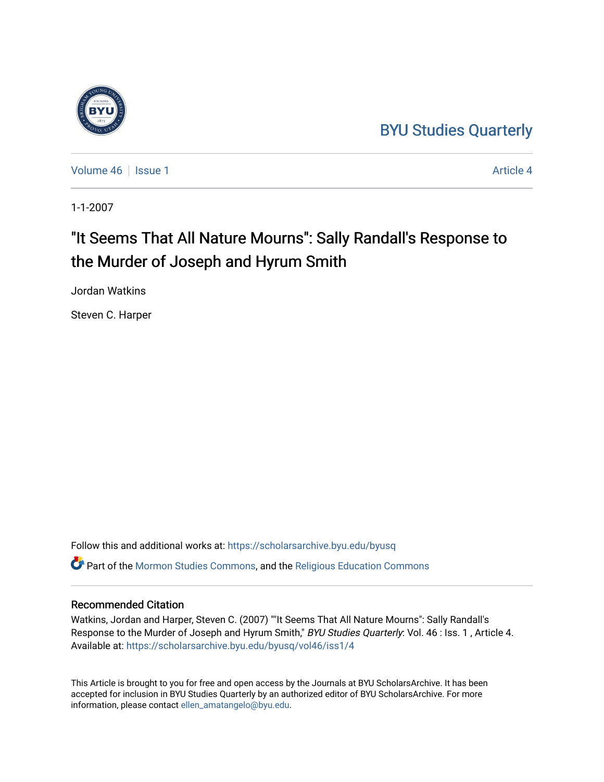## [BYU Studies Quarterly](https://scholarsarchive.byu.edu/byusq)

[Volume 46](https://scholarsarchive.byu.edu/byusq/vol46) September 1 [Article 4](https://scholarsarchive.byu.edu/byusq/vol46/iss1/4) Article 4 Article 4 Article 4 Article 4 Article 4

1-1-2007

# "It Seems That All Nature Mourns": Sally Randall's Response to the Murder of Joseph and Hyrum Smith

Jordan Watkins

Steven C. Harper

Follow this and additional works at: [https://scholarsarchive.byu.edu/byusq](https://scholarsarchive.byu.edu/byusq?utm_source=scholarsarchive.byu.edu%2Fbyusq%2Fvol46%2Fiss1%2F4&utm_medium=PDF&utm_campaign=PDFCoverPages)  Part of the [Mormon Studies Commons](http://network.bepress.com/hgg/discipline/1360?utm_source=scholarsarchive.byu.edu%2Fbyusq%2Fvol46%2Fiss1%2F4&utm_medium=PDF&utm_campaign=PDFCoverPages), and the [Religious Education Commons](http://network.bepress.com/hgg/discipline/1414?utm_source=scholarsarchive.byu.edu%2Fbyusq%2Fvol46%2Fiss1%2F4&utm_medium=PDF&utm_campaign=PDFCoverPages) 

### Recommended Citation

Watkins, Jordan and Harper, Steven C. (2007) ""It Seems That All Nature Mourns": Sally Randall's Response to the Murder of Joseph and Hyrum Smith," BYU Studies Quarterly: Vol. 46 : Iss. 1, Article 4. Available at: [https://scholarsarchive.byu.edu/byusq/vol46/iss1/4](https://scholarsarchive.byu.edu/byusq/vol46/iss1/4?utm_source=scholarsarchive.byu.edu%2Fbyusq%2Fvol46%2Fiss1%2F4&utm_medium=PDF&utm_campaign=PDFCoverPages)

This Article is brought to you for free and open access by the Journals at BYU ScholarsArchive. It has been accepted for inclusion in BYU Studies Quarterly by an authorized editor of BYU ScholarsArchive. For more information, please contact [ellen\\_amatangelo@byu.edu.](mailto:ellen_amatangelo@byu.edu)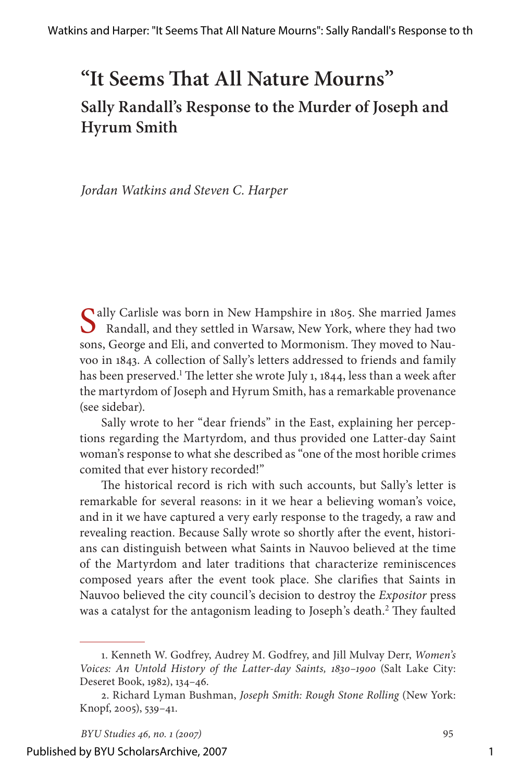## **"It Seems That All Nature Mourns" Sally Randall's Response to the Murder of Joseph and Hyrum Smith**

*Jordan Watkins and Steven C. Harper*

Sally Carlisle was born in New Hampshire in 1805. She married James<br>Randall, and they settled in Warsaw, New York, where they had two<br>New York, where they had two sons, George and Eli, and converted to Mormonism. They moved to Nauvoo in 1843. A collection of Sally's letters addressed to friends and family has been preserved.<sup>1</sup> The letter she wrote July 1, 1844, less than a week after the martyrdom of Joseph and Hyrum Smith, has a remarkable provenance (see sidebar).

Sally wrote to her "dear friends" in the East, explaining her perceptions regarding the Martyrdom, and thus provided one Latter-day Saint woman's response to what she described as "one of the most horible crimes comited that ever history recorded!"

The historical record is rich with such accounts, but Sally's letter is remarkable for several reasons: in it we hear a believing woman's voice, and in it we have captured a very early response to the tragedy, a raw and revealing reaction. Because Sally wrote so shortly after the event, historians can distinguish between what Saints in Nauvoo believed at the time of the Martyrdom and later traditions that characterize reminiscences composed years after the event took place. She clarifies that Saints in Nauvoo believed the city council's decision to destroy the *Expositor* press was a catalyst for the antagonism leading to Joseph's death.<sup>2</sup> They faulted

<sup>1.</sup> Kenneth W. Godfrey, Audrey M. Godfrey, and Jill Mulvay Derr, *Women's Voices: An Untold History of the Latter-day Saints, 1830–1900* (Salt Lake City: Deseret Book, 1982), 134–46.

<sup>2.</sup> Richard Lyman Bushman, *Joseph Smith: Rough Stone Rolling* (New York: Knopf, 2005), 539–41.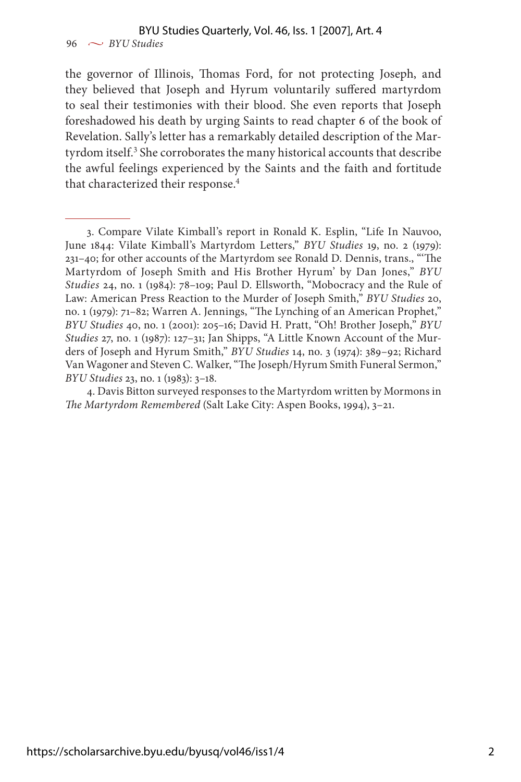### BYU Studies Quarterly, Vol. 46, Iss. 1 [2007], Art. 4

 $96 \sim$  *BYU Studies* 

the governor of Illinois, Thomas Ford, for not protecting Joseph, and they believed that Joseph and Hyrum voluntarily suffered martyrdom to seal their testimonies with their blood. She even reports that Joseph foreshadowed his death by urging Saints to read chapter 6 of the book of Revelation. Sally's letter has a remarkably detailed description of the Martyrdom itself.<sup>3</sup> She corroborates the many historical accounts that describe the awful feelings experienced by the Saints and the faith and fortitude that characterized their response.<sup>4</sup>

<sup>3.</sup> Compare Vilate Kimball's report in Ronald K. Esplin, "Life In Nauvoo, June 1844: Vilate Kimball's Martyrdom Letters," *BYU Studies* 19, no. 2 (1979): 231–40; for other accounts of the Martyrdom see Ronald D. Dennis, trans., "'The Martyrdom of Joseph Smith and His Brother Hyrum' by Dan Jones," *BYU Studies* 24, no. 1 (1984): 78–109; Paul D. Ellsworth, "Mobocracy and the Rule of Law: American Press Reaction to the Murder of Joseph Smith," *BYU Studies* 20, no. 1 (1979): 71–82; Warren A. Jennings, "The Lynching of an American Prophet," *BYU Studies* 40, no. 1 (2001): 205–16; David H. Pratt, "Oh! Brother Joseph," *BYU Studies* 27, no. 1 (1987): 127–31; Jan Shipps, "A Little Known Account of the Murders of Joseph and Hyrum Smith," *BYU Studies* 14, no. 3 (1974): 389–92; Richard Van Wagoner and Steven C. Walker, "The Joseph/Hyrum Smith Funeral Sermon," *BYU Studies* 23, no. 1 (1983): 3–18.

<sup>4.</sup> Davis Bitton surveyed responses to the Martyrdom written by Mormons in *The Martyrdom Remembered* (Salt Lake City: Aspen Books, 1994), 3–21.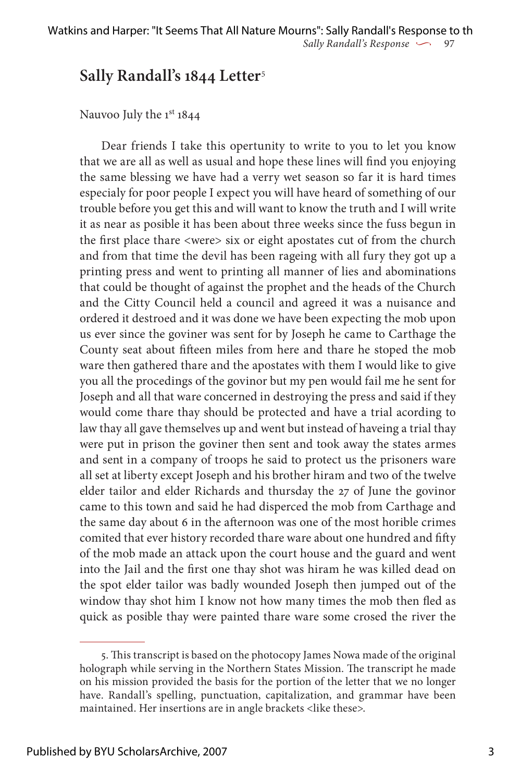## **Sally Randall's 1844 Letter**<sup>5</sup>

Nauvoo July the 1<sup>st</sup> 1844

Dear friends I take this opertunity to write to you to let you know that we are all as well as usual and hope these lines will find you enjoying the same blessing we have had a verry wet season so far it is hard times especialy for poor people I expect you will have heard of something of our trouble before you get this and will want to know the truth and I will write it as near as posible it has been about three weeks since the fuss begun in the first place thare <were> six or eight apostates cut of from the church and from that time the devil has been rageing with all fury they got up a printing press and went to printing all manner of lies and abominations that could be thought of against the prophet and the heads of the Church and the Citty Council held a council and agreed it was a nuisance and ordered it destroed and it was done we have been expecting the mob upon us ever since the goviner was sent for by Joseph he came to Carthage the County seat about fifteen miles from here and thare he stoped the mob ware then gathered thare and the apostates with them I would like to give you all the procedings of the govinor but my pen would fail me he sent for Joseph and all that ware concerned in destroying the press and said if they would come thare thay should be protected and have a trial acording to law thay all gave themselves up and went but instead of haveing a trial thay were put in prison the goviner then sent and took away the states armes and sent in a company of troops he said to protect us the prisoners ware all set at liberty except Joseph and his brother hiram and two of the twelve elder tailor and elder Richards and thursday the 27 of June the govinor came to this town and said he had disperced the mob from Carthage and the same day about 6 in the afternoon was one of the most horible crimes comited that ever history recorded thare ware about one hundred and fifty of the mob made an attack upon the court house and the guard and went into the Jail and the first one thay shot was hiram he was killed dead on the spot elder tailor was badly wounded Joseph then jumped out of the window thay shot him I know not how many times the mob then fled as quick as posible thay were painted thare ware some crosed the river the

<sup>5.</sup> This transcript is based on the photocopy James Nowa made of the original holograph while serving in the Northern States Mission. The transcript he made on his mission provided the basis for the portion of the letter that we no longer have. Randall's spelling, punctuation, capitalization, and grammar have been maintained. Her insertions are in angle brackets <like these>.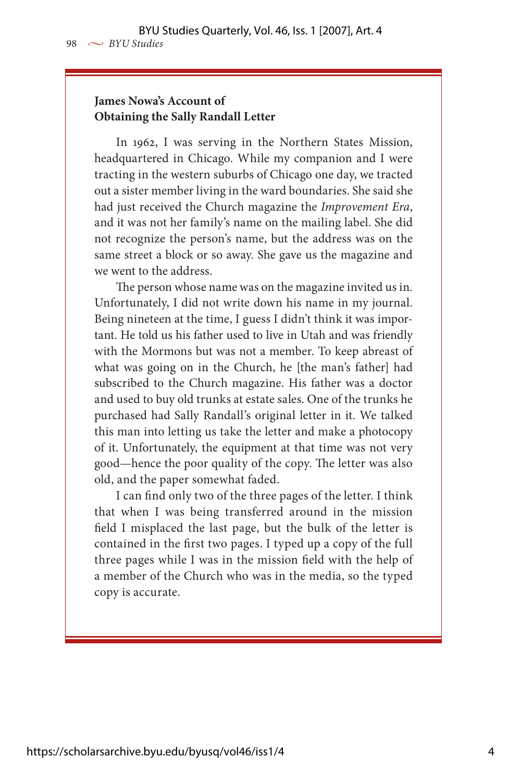#### **James Nowa's Account of Obtaining the Sally Randall Letter**

In 1962, I was serving in the Northern States Mission, headquartered in Chicago. While my companion and I were tracting in the western suburbs of Chicago one day, we tracted out a sister member living in the ward boundaries. She said she had just received the Church magazine the *Improvement Era*, and it was not her family's name on the mailing label. She did not recognize the person's name, but the address was on the same street a block or so away. She gave us the magazine and we went to the address.

The person whose name was on the magazine invited us in. Unfortunately, I did not write down his name in my journal. Being nineteen at the time, I guess I didn't think it was important. He told us his father used to live in Utah and was friendly with the Mormons but was not a member. To keep abreast of what was going on in the Church, he [the man's father] had subscribed to the Church magazine. His father was a doctor and used to buy old trunks at estate sales. One of the trunks he purchased had Sally Randall's original letter in it. We talked this man into letting us take the letter and make a photocopy of it. Unfortunately, the equipment at that time was not very good—hence the poor quality of the copy. The letter was also old, and the paper somewhat faded.

I can find only two of the three pages of the letter. I think that when I was being transferred around in the mission field I misplaced the last page, but the bulk of the letter is contained in the first two pages. I typed up a copy of the full three pages while I was in the mission field with the help of a member of the Church who was in the media, so the typed copy is accurate.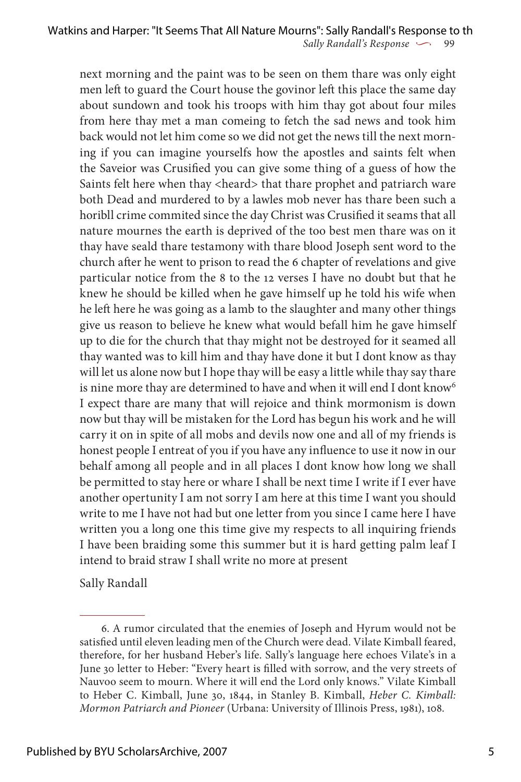next morning and the paint was to be seen on them thare was only eight men left to guard the Court house the govinor left this place the same day about sundown and took his troops with him thay got about four miles from here thay met a man comeing to fetch the sad news and took him back would not let him come so we did not get the news till the next morning if you can imagine yourselfs how the apostles and saints felt when the Saveior was Crusified you can give some thing of a guess of how the Saints felt here when thay <heard> that thare prophet and patriarch ware both Dead and murdered to by a lawles mob never has thare been such a horibll crime commited since the day Christ was Crusified it seams that all nature mournes the earth is deprived of the too best men thare was on it thay have seald thare testamony with thare blood Joseph sent word to the church after he went to prison to read the 6 chapter of revelations and give particular notice from the 8 to the 12 verses I have no doubt but that he knew he should be killed when he gave himself up he told his wife when he left here he was going as a lamb to the slaughter and many other things give us reason to believe he knew what would befall him he gave himself up to die for the church that thay might not be destroyed for it seamed all thay wanted was to kill him and thay have done it but I dont know as thay will let us alone now but I hope thay will be easy a little while thay say thare is nine more thay are determined to have and when it will end I dont know<sup>6</sup> I expect thare are many that will rejoice and think mormonism is down now but thay will be mistaken for the Lord has begun his work and he will carry it on in spite of all mobs and devils now one and all of my friends is honest people I entreat of you if you have any influence to use it now in our behalf among all people and in all places I dont know how long we shall be permitted to stay here or whare I shall be next time I write if I ever have another opertunity I am not sorry I am here at this time I want you should write to me I have not had but one letter from you since I came here I have written you a long one this time give my respects to all inquiring friends I have been braiding some this summer but it is hard getting palm leaf I intend to braid straw I shall write no more at present

Sally Randall

<sup>6.</sup> A rumor circulated that the enemies of Joseph and Hyrum would not be satisfied until eleven leading men of the Church were dead. Vilate Kimball feared, therefore, for her husband Heber's life. Sally's language here echoes Vilate's in a June 30 letter to Heber: "Every heart is filled with sorrow, and the very streets of Nauvoo seem to mourn. Where it will end the Lord only knows." Vilate Kimball to Heber C. Kimball, June 30, 1844, in Stanley B. Kimball, *Heber C. Kimball: Mormon Patriarch and Pioneer* (Urbana: University of Illinois Press, 1981), 108.